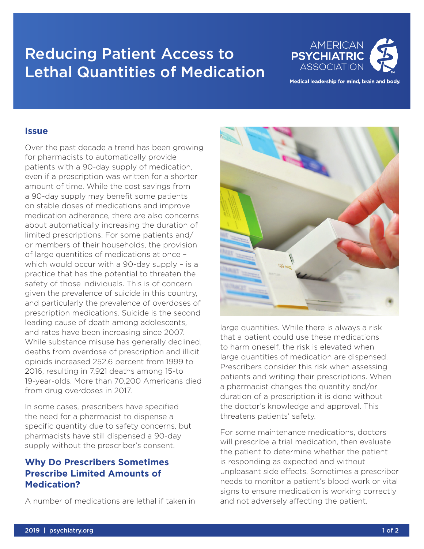# Reducing Patient Access to Lethal Quantities of Medication



Medical leadership for mind, brain and body.

#### **Issue**

Over the past decade a trend has been growing for pharmacists to automatically provide patients with a 90-day supply of medication, even if a prescription was written for a shorter amount of time. While the cost savings from a 90-day supply may benefit some patients on stable doses of medications and improve medication adherence, there are also concerns about automatically increasing the duration of limited prescriptions. For some patients and/ or members of their households, the provision of large quantities of medications at once – which would occur with a 90-day supply – is a practice that has the potential to threaten the safety of those individuals. This is of concern given the prevalence of suicide in this country, and particularly the prevalence of overdoses of prescription medications. Suicide is the second leading cause of death among adolescents, and rates have been increasing since 2007. While substance misuse has generally declined, deaths from overdose of prescription and illicit opioids increased 252.6 percent from 1999 to 2016, resulting in 7,921 deaths among 15-to 19-year-olds. More than 70,200 Americans died from drug overdoses in 2017.

In some cases, prescribers have specified the need for a pharmacist to dispense a specific quantity due to safety concerns, but pharmacists have still dispensed a 90-day supply without the prescriber's consent.

## **Why Do Prescribers Sometimes Prescribe Limited Amounts of Medication?**

A number of medications are lethal if taken in



large quantities. While there is always a risk that a patient could use these medications to harm oneself, the risk is elevated when large quantities of medication are dispensed. Prescribers consider this risk when assessing patients and writing their prescriptions. When a pharmacist changes the quantity and/or duration of a prescription it is done without the doctor's knowledge and approval. This threatens patients' safety.

For some maintenance medications, doctors will prescribe a trial medication, then evaluate the patient to determine whether the patient is responding as expected and without unpleasant side effects. Sometimes a prescriber needs to monitor a patient's blood work or vital signs to ensure medication is working correctly and not adversely affecting the patient.